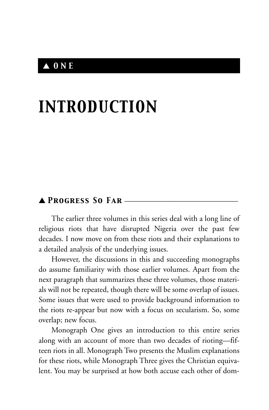# ▲ *ONE*

# *INTRODUCTION*

# ▲ *Progress So Far* \_\_\_\_\_\_\_\_\_\_\_\_\_\_\_\_\_\_\_\_\_\_\_\_\_\_\_\_\_

The earlier three volumes in this series deal with a long line of religious riots that have disrupted Nigeria over the past few decades. I now move on from these riots and their explanations to a detailed analysis of the underlying issues.

However, the discussions in this and succeeding monographs do assume familiarity with those earlier volumes. Apart from the next paragraph that summarizes these three volumes, those materials will not be repeated, though there will be some overlap of issues. Some issues that were used to provide background information to the riots re-appear but now with a focus on secularism. So, some overlap; new focus.

Monograph One gives an introduction to this entire series along with an account of more than two decades of rioting—fifteen riots in all. Monograph Two presents the Muslim explanations for these riots, while Monograph Three gives the Christian equivalent. You may be surprised at how both accuse each other of dom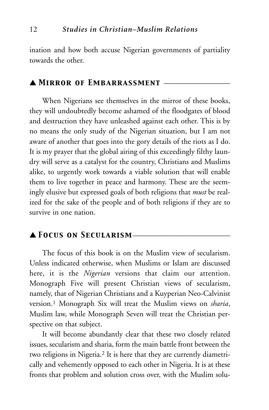ination and how both accuse Nigerian governments of partiality towards the other.

#### ▲ *Mirror of Embarrassment* \_\_\_\_\_\_\_\_\_\_\_\_\_\_\_\_\_

When Nigerians see themselves in the mirror of these books, they will undoubtedly become ashamed of the floodgates of blood and destruction they have unleashed against each other. This is by no means the only study of the Nigerian situation, but I am not aware of another that goes into the gory details of the riots as I do. It is my prayer that the global airing of this exceedingly filthy laundry will serve as a catalyst for the country, Christians and Muslims alike, to urgently work towards a viable solution that will enable them to live together in peace and harmony. These are the seemingly elusive but expressed goals of both religions that *must* be realized for the sake of the people and of both religions if they are to survive in one nation.

## ▲ *Focus on Secularism*\_\_\_\_\_\_\_\_\_\_\_\_\_\_\_\_\_\_\_\_\_\_\_\_\_

The focus of this book is on the Muslim view of secularism. Unless indicated otherwise, when Muslims or Islam are discussed here, it is the *Nigerian* versions that claim our attention. Monograph Five will present Christian views of secularism, namely, that of Nigerian Christians and a Kuyperian Neo-Calvinist version.1 Monograph Six will treat the Muslim views on *sharia*, Muslim law, while Monograph Seven will treat the Christian perspective on that subject.

It will become abundantly clear that these two closely related issues, secularism and sharia, form the main battle front between the two religions in Nigeria.2 It is here that they are currently diametrically and vehemently opposed to each other in Nigeria. It is at these fronts that problem and solution cross over, with the Muslim solu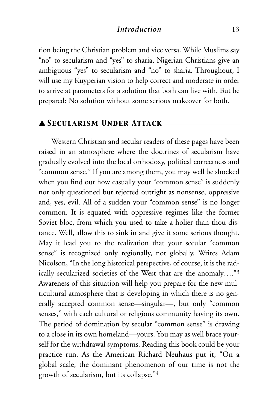tion being the Christian problem and vice versa. While Muslims say "no" to secularism and "yes" to sharia, Nigerian Christians give an ambiguous "yes" to secularism and "no" to sharia. Throughout, I will use my Kuyperian vision to help correct and moderate in order to arrive at parameters for a solution that both can live with. But be prepared: No solution without some serious makeover for both.

# ▲ *Secularism Under Attack* \_\_\_\_\_\_\_\_\_\_\_\_\_\_\_\_\_\_\_

Western Christian and secular readers of these pages have been raised in an atmosphere where the doctrines of secularism have gradually evolved into the local orthodoxy, political correctness and "common sense." If you are among them, you may well be shocked when you find out how casually your "common sense" is suddenly not only questioned but rejected outright as nonsense, oppressive and, yes, evil. All of a sudden your "common sense" is no longer common. It is equated with oppressive regimes like the former Soviet bloc, from which you used to take a holier-than-thou distance. Well, allow this to sink in and give it some serious thought. May it lead you to the realization that your secular "common sense" is recognized only regionally, not globally. Writes Adam Nicolson, "In the long historical perspective, of course, it is the radically secularized societies of the West that are the anomaly…."3 Awareness of this situation will help you prepare for the new multicultural atmosphere that is developing in which there is no generally accepted common sense—singular—, but only "common senses," with each cultural or religious community having its own. The period of domination by secular "common sense" is drawing to a close in its own homeland—yours. You may as well brace yourself for the withdrawal symptoms. Reading this book could be your practice run. As the American Richard Neuhaus put it, "On a global scale, the dominant phenomenon of our time is not the growth of secularism, but its collapse."4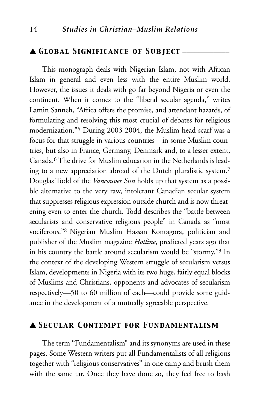# ▲ *Global Significance of Subject* \_\_\_\_\_\_\_\_\_\_\_\_

This monograph deals with Nigerian Islam, not with African Islam in general and even less with the entire Muslim world. However, the issues it deals with go far beyond Nigeria or even the continent. When it comes to the "liberal secular agenda," writes Lamin Sanneh, "Africa offers the promise, and attendant hazards, of formulating and resolving this most crucial of debates for religious modernization."5 During 2003-2004, the Muslim head scarf was a focus for that struggle in various countries—in some Muslim countries, but also in France, Germany, Denmark and, to a lesser extent, Canada.6 The drive for Muslim education in the Netherlands is leading to a new appreciation abroad of the Dutch pluralistic system.7 Douglas Todd of the *Vancouver Sun* holds up that system as a possible alternative to the very raw, intolerant Canadian secular system that suppresses religious expression outside church and is now threatening even to enter the church. Todd describes the "battle between secularists and conservative religious people" in Canada as "most vociferous."8 Nigerian Muslim Hassan Kontagora, politician and publisher of the Muslim magazine *Hotline*, predicted years ago that in his country the battle around secularism would be "stormy."9 In the context of the developing Western struggle of secularism versus Islam, developments in Nigeria with its two huge, fairly equal blocks of Muslims and Christians, opponents and advocates of secularism respectively—50 to 60 million of each—could provide some guidance in the development of a mutually agreeable perspective.

# ▲ *Secular Contempt for Fundamentalism* \_\_

The term "Fundamentalism" and its synonyms are used in these pages. Some Western writers put all Fundamentalists of all religions together with "religious conservatives" in one camp and brush them with the same tar. Once they have done so, they feel free to bash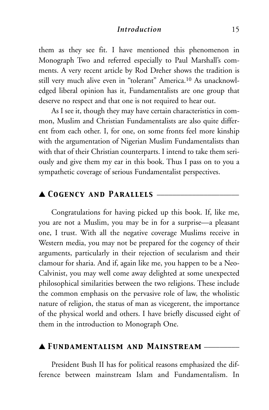them as they see fit. I have mentioned this phenomenon in Monograph Two and referred especially to Paul Marshall's comments. A very recent article by Rod Dreher shows the tradition is still very much alive even in "tolerant" America.10 As unacknowledged liberal opinion has it, Fundamentalists are one group that deserve no respect and that one is not required to hear out.

As I see it, though they may have certain characteristics in common, Muslim and Christian Fundamentalists are also quite different from each other. I, for one, on some fronts feel more kinship with the argumentation of Nigerian Muslim Fundamentalists than with that of their Christian counterparts. I intend to take them seriously and give them my ear in this book. Thus I pass on to you a sympathetic coverage of serious Fundamentalist perspectives.

# ▲ *Cogency and Parallels* \_\_\_\_\_\_\_\_\_\_\_\_\_\_\_\_\_\_\_\_\_

Congratulations for having picked up this book. If, like me, you are not a Muslim, you may be in for a surprise—a pleasant one, I trust. With all the negative coverage Muslims receive in Western media, you may not be prepared for the cogency of their arguments, particularly in their rejection of secularism and their clamour for sharia. And if, again like me, you happen to be a Neo-Calvinist, you may well come away delighted at some unexpected philosophical similarities between the two religions. These include the common emphasis on the pervasive role of law, the wholistic nature of religion, the status of man as vicegerent, the importance of the physical world and others. I have briefly discussed eight of them in the introduction to Monograph One.

#### ▲ *Fundamentalism and Mainstream* \_\_\_\_\_\_\_\_\_

President Bush II has for political reasons emphasized the difference between mainstream Islam and Fundamentalism. In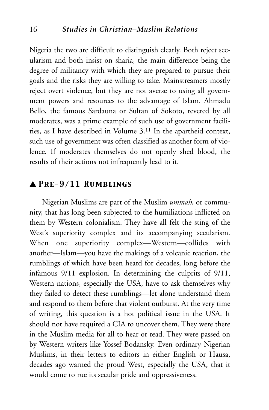Nigeria the two are difficult to distinguish clearly. Both reject secularism and both insist on sharia, the main difference being the degree of militancy with which they are prepared to pursue their goals and the risks they are willing to take. Mainstreamers mostly reject overt violence, but they are not averse to using all government powers and resources to the advantage of Islam. Ahmadu Bello, the famous Sardauna or Sultan of Sokoto, revered by all moderates, was a prime example of such use of government facilities, as I have described in Volume 3.11 In the apartheid context, such use of government was often classified as another form of violence. If moderates themselves do not openly shed blood, the results of their actions not infrequently lead to it.

# ▲ *Pre-9/11 Rumblings* \_\_\_\_\_\_\_\_\_\_\_\_\_\_\_\_\_\_\_\_\_\_\_\_

Nigerian Muslims are part of the Muslim *ummah,* or community, that has long been subjected to the humiliations inflicted on them by Western colonialism. They have all felt the sting of the West's superiority complex and its accompanying secularism. When one superiority complex—Western—collides with another—Islam—you have the makings of a volcanic reaction, the rumblings of which have been heard for decades, long before the infamous 9/11 explosion. In determining the culprits of 9/11, Western nations, especially the USA, have to ask themselves why they failed to detect these rumblings—let alone understand them and respond to them before that violent outburst. At the very time of writing, this question is a hot political issue in the USA. It should not have required a CIA to uncover them. They were there in the Muslim media for all to hear or read. They were passed on by Western writers like Yossef Bodansky. Even ordinary Nigerian Muslims, in their letters to editors in either English or Hausa, decades ago warned the proud West, especially the USA, that it would come to rue its secular pride and oppressiveness.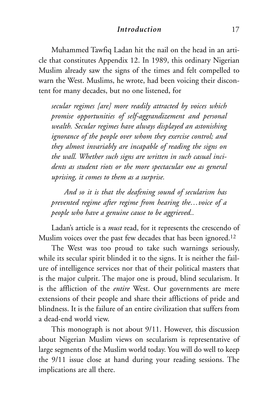Muhammed Tawfiq Ladan hit the nail on the head in an article that constitutes Appendix 12. In 1989, this ordinary Nigerian Muslim already saw the signs of the times and felt compelled to warn the West. Muslims, he wrote, had been voicing their discontent for many decades, but no one listened, for

*secular regimes [are] more readily attracted by voices which promise opportunities of self-aggrandizement and personal wealth. Secular regimes have always displayed an astonishing ignorance of the people over whom they exercise control; and they almost invariably are incapable of reading the signs on the wall. Whether such signs are written in such casual incidents as student riots or the more spectacular one as general uprising, it comes to them as a surprise.*

*And so it is that the deafening sound of secularism has prevented regime after regime from hearing the…voice of a people who have a genuine cause to be aggrieved..* 

Ladan's article is a *must* read, for it represents the crescendo of Muslim voices over the past few decades that has been ignored.<sup>12</sup>

The West was too proud to take such warnings seriously, while its secular spirit blinded it to the signs. It is neither the failure of intelligence services nor that of their political masters that is the major culprit. The major one is proud, blind secularism. It is the affliction of the *entire* West. Our governments are mere extensions of their people and share their afflictions of pride and blindness. It is the failure of an entire civilization that suffers from a dead-end world view.

This monograph is not about 9/11. However, this discussion about Nigerian Muslim views on secularism is representative of large segments of the Muslim world today. You will do well to keep the 9/11 issue close at hand during your reading sessions. The implications are all there.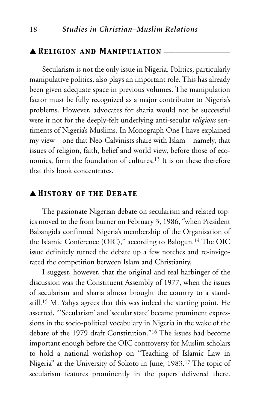#### ▲ *Religion and Manipulation* \_\_\_\_\_\_\_\_\_\_\_\_\_\_\_\_\_

Secularism is not the only issue in Nigeria. Politics, particularly manipulative politics, also plays an important role. This has already been given adequate space in previous volumes. The manipulation factor must be fully recognized as a major contributor to Nigeria's problems. However, advocates for sharia would not be successful were it not for the deeply-felt underlying anti-secular *religious* sentiments of Nigeria's Muslims. In Monograph One I have explained my view—one that Neo-Calvinists share with Islam—namely, that issues of religion, faith, belief and world view, before those of economics, form the foundation of cultures.<sup>13</sup> It is on these therefore that this book concentrates.

### ▲ *History of the Debate* \_\_\_\_\_\_\_\_\_\_\_\_\_\_\_\_\_\_\_\_\_\_\_

The passionate Nigerian debate on secularism and related topics moved to the front burner on February 3, 1986, "when President Babangida confirmed Nigeria's membership of the Organisation of the Islamic Conference (OIC)," according to Balogun.14 The OIC issue definitely turned the debate up a few notches and re-invigorated the competition between Islam and Christianity.

I suggest, however, that the original and real harbinger of the discussion was the Constituent Assembly of 1977, when the issues of secularism and sharia almost brought the country to a standstill.15 M. Yahya agrees that this was indeed the starting point. He asserted, "'Secularism' and 'secular state' became prominent expressions in the socio-political vocabulary in Nigeria in the wake of the debate of the 1979 draft Constitution."16 The issues had become important enough before the OIC controversy for Muslim scholars to hold a national workshop on "Teaching of Islamic Law in Nigeria" at the University of Sokoto in June, 1983.17 The topic of secularism features prominently in the papers delivered there.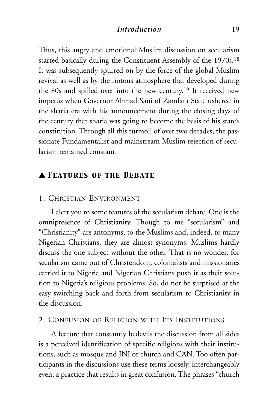Thus, this angry and emotional Muslim discussion on secularism started basically during the Constituent Assembly of the 1970s.<sup>18</sup> It was subsequently spurred on by the force of the global Muslim revival as well as by the riotous atmosphere that developed during the 80s and spilled over into the new century.19 It received new impetus when Governor Ahmad Sani of Zamfara State ushered in the sharia era with his announcement during the closing days of the century that sharia was going to become the basis of his state's constitution. Through all this turmoil of over two decades, the passionate Fundamentalist and mainstream Muslim rejection of secularism remained constant.

## ▲ *Features of the Debate* \_\_\_\_\_\_\_\_\_\_\_\_\_\_\_\_\_\_\_\_\_

#### 1. CHRISTIAN ENVIRONMENT

I alert you to some features of the secularism debate. One is the omnipresence of Christianity. Though to me "secularism" and "Christianity" are antonyms, to the Muslims and, indeed, to many Nigerian Christians, they are almost synonyms. Muslims hardly discuss the one subject without the other. That is no wonder, for secularism came out of Christendom; colonialists and missionaries carried it to Nigeria and Nigerian Christians push it as their solution to Nigeria's religious problems. So, do not be surprised at the easy switching back and forth from secularism to Christianity in the discussion.

## 2. CONFUSION OF RELIGION WITH ITS INSTITUTIONS

A feature that constantly bedevils the discussion from all sides is a perceived identification of specific religions with their institutions, such as mosque and JNI or church and CAN. Too often participants in the discussions use these terms loosely, interchangeably even, a practice that results in great confusion. The phrases "church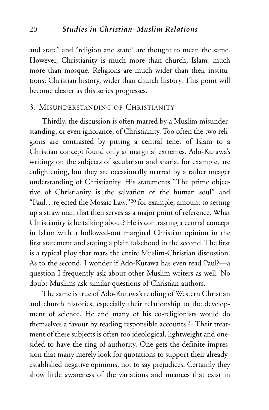and state" and "religion and state" are thought to mean the same. However, Christianity is much more than church; Islam, much more than mosque. Religions are much wider than their institutions; Christian history, wider than church history. This point will become clearer as this series progresses.

#### 3. MISUNDERSTANDING OF CHRISTIANITY

Thirdly, the discussion is often marred by a Muslim misunderstanding, or even ignorance, of Christianity. Too often the two religions are contrasted by pitting a central tenet of Islam to a Christian concept found only at marginal extremes. Ado-Kurawa's writings on the subjects of secularism and sharia, for example, are enlightening, but they are occasionally marred by a rather meager understanding of Christianity. His statements "The prime objective of Christianity is the salvation of the human soul" and "Paul…rejected the Mosaic Law,"20 for example, amount to setting up a straw man that then serves as a major point of reference. What Christianity is he talking about? He is contrasting a central concept in Islam with a hollowed-out marginal Christian opinion in the first statement and stating a plain falsehood in the second. The first is a typical ploy that mars the entire Muslim-Christian discussion. As to the second, I wonder if Ado-Kurawa has even read Paul?—a question I frequently ask about other Muslim writers as well. No doubt Muslims ask similar questions of Christian authors.

The same is true of Ado-Kurawa's reading of Western Christian and church histories, especially their relationship to the development of science. He and many of his co-religionists would do themselves a favour by reading responsible accounts.21 Their treatment of these subjects is often too ideological, lightweight and onesided to have the ring of authority. One gets the definite impression that many merely look for quotations to support their alreadyestablished negative opinions, not to say prejudices. Certainly they show little awareness of the variations and nuances that exist in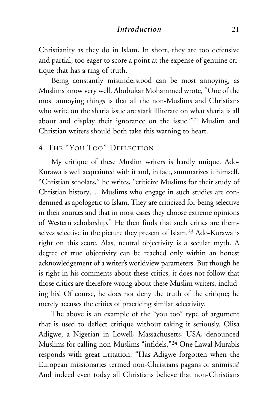Christianity as they do in Islam. In short, they are too defensive and partial, too eager to score a point at the expense of genuine critique that has a ring of truth.

Being constantly misunderstood can be most annoying, as Muslims know very well. Abubukar Mohammed wrote, "One of the most annoying things is that all the non-Muslims and Christians who write on the sharia issue are stark illiterate on what sharia is all about and display their ignorance on the issue."22 Muslim and Christian writers should both take this warning to heart.

# 4. THE "YOU TOO" DEFLECTION

My critique of these Muslim writers is hardly unique. Ado-Kurawa is well acquainted with it and, in fact, summarizes it himself. "Christian scholars," he writes, "criticize Muslims for their study of Christian history…. Muslims who engage in such studies are condemned as apologetic to Islam. They are criticized for being selective in their sources and that in most cases they choose extreme opinions of Western scholarship." He then finds that such critics are themselves selective in the picture they present of Islam.23 Ado-Kurawa is right on this score. Alas, neutral objectivity is a secular myth. A degree of true objectivity can be reached only within an honest acknowledgement of a writer's worldview parameters. But though he is right in his comments about these critics, it does not follow that those critics are therefore wrong about these Muslim writers, including his! Of course, he does not deny the truth of the critique; he merely accuses the critics of practicing similar selectivity.

The above is an example of the "you too" type of argument that is used to deflect critique without taking it seriously. Olisa Adigwe, a Nigerian in Lowell, Massachusetts, USA, denounced Muslims for calling non-Muslims "infidels."24 One Lawal Murabis responds with great irritation. "Has Adigwe forgotten when the European missionaries termed non-Christians pagans or animists? And indeed even today all Christians believe that non-Christians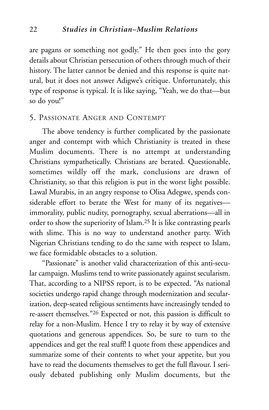are pagans or something not godly." He then goes into the gory details about Christian persecution of others through much of their history. The latter cannot be denied and this response is quite natural, but it does not answer Adigwe's critique. Unfortunately, this type of response is typical. It is like saying, "Yeah, we do that—but so do you!"

## 5. PASSIONATE ANGER AND CONTEMPT

The above tendency is further complicated by the passionate anger and contempt with which Christianity is treated in these Muslim documents. There is no attempt at understanding Christians sympathetically. Christians are berated. Questionable, sometimes wildly off the mark, conclusions are drawn of Christianity, so that this religion is put in the worst light possible. Lawal Murabis, in an angry response to Olisa Adegwe, spends considerable effort to berate the West for many of its negatives immorality, public nudity, pornography, sexual aberrations—all in order to show the superiority of Islam.25 It is like contrasting pearls with slime. This is no way to understand another party. With Nigerian Christians tending to do the same with respect to Islam, we face formidable obstacles to a solution.

"Passionate" is another valid characterization of this anti-secular campaign. Muslims tend to write passionately against secularism. That, according to a NIPSS report, is to be expected. "As national societies undergo rapid change through modernization and secularization, deep-seated religious sentiments have increasingly tended to re-assert themselves."26 Expected or not, this passion is difficult to relay for a non-Muslim. Hence I try to relay it by way of extensive quotations and generous appendices. So, be sure to turn to the appendices and get the real stuff! I quote from these appendices and summarize some of their contents to whet your appetite, but you have to read the documents themselves to get the full flavour. I seriously debated publishing only Muslim documents, but the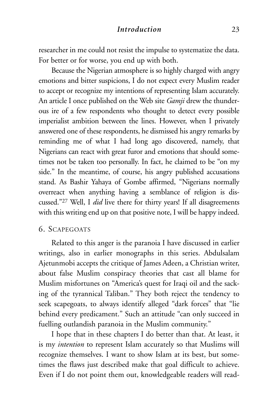researcher in me could not resist the impulse to systematize the data. For better or for worse, you end up with both.

Because the Nigerian atmosphere is so highly charged with angry emotions and bitter suspicions, I do not expect every Muslim reader to accept or recognize my intentions of representing Islam accurately. An article I once published on the Web site *Gamji* drew the thunderous ire of a few respondents who thought to detect every possible imperialist ambition between the lines. However, when I privately answered one of these respondents, he dismissed his angry remarks by reminding me of what I had long ago discovered, namely, that Nigerians can react with great furor and emotions that should sometimes not be taken too personally. In fact, he claimed to be "on my side." In the meantime, of course, his angry published accusations stand. As Bashir Yahaya of Gombe affirmed, "Nigerians normally overreact when anything having a semblance of religion is discussed."27 Well, I *did* live there for thirty years! If all disagreements with this writing end up on that positive note, I will be happy indeed.

#### 6. SCAPEGOATS

Related to this anger is the paranoia I have discussed in earlier writings, also in earlier monographs in this series. Abdulsalam Ajetunmobi accepts the critique of James Adeen, a Christian writer, about false Muslim conspiracy theories that cast all blame for Muslim misfortunes on "America's quest for Iraqi oil and the sacking of the tyrannical Taliban." They both reject the tendency to seek scapegoats, to always identify alleged "dark forces" that "lie behind every predicament." Such an attitude "can only succeed in fuelling outlandish paranoia in the Muslim community."

I hope that in these chapters I do better than that. At least, it is my *intention* to represent Islam accurately so that Muslims will recognize themselves. I want to show Islam at its best, but sometimes the flaws just described make that goal difficult to achieve. Even if I do not point them out, knowledgeable readers will read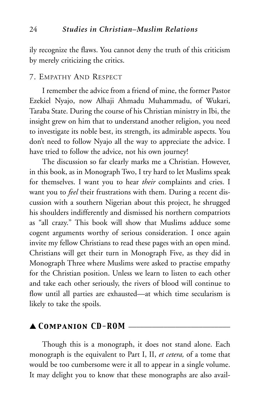ily recognize the flaws. You cannot deny the truth of this criticism by merely criticizing the critics.

### 7. EMPATHY AND RESPECT

I remember the advice from a friend of mine, the former Pastor Ezekiel Nyajo, now Alhaji Ahmadu Muhammadu, of Wukari, Taraba State. During the course of his Christian ministry in Ibi, the insight grew on him that to understand another religion, you need to investigate its noble best, its strength, its admirable aspects. You don't need to follow Nyajo all the way to appreciate the advice. I have tried to follow the advice, not his own journey!

The discussion so far clearly marks me a Christian. However, in this book, as in Monograph Two, I try hard to let Muslims speak for themselves. I want you to hear *their* complaints and cries. I want you to *feel* their frustrations with them. During a recent discussion with a southern Nigerian about this project, he shrugged his shoulders indifferently and dismissed his northern compatriots as "all crazy." This book will show that Muslims adduce some cogent arguments worthy of serious consideration. I once again invite my fellow Christians to read these pages with an open mind. Christians will get their turn in Monograph Five, as they did in Monograph Three where Muslims were asked to practise empathy for the Christian position. Unless we learn to listen to each other and take each other seriously, the rivers of blood will continue to flow until all parties are exhausted—at which time secularism is likely to take the spoils.

# $\blacktriangle$  *COMPANION CD-ROM*  $\equiv$

Though this is a monograph, it does not stand alone. Each monograph is the equivalent to Part I, II, *et cetera,* of a tome that would be too cumbersome were it all to appear in a single volume. It may delight you to know that these monographs are also avail-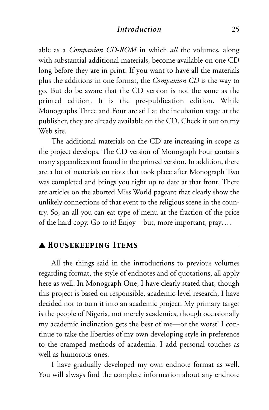able as a *Companion CD-ROM* in which *all* the volumes, along with substantial additional materials, become available on one CD long before they are in print. If you want to have all the materials plus the additions in one format, the *Companion CD* is the way to go. But do be aware that the CD version is not the same as the printed edition. It is the pre-publication edition. While Monographs Three and Four are still at the incubation stage at the publisher, they are already available on the CD. Check it out on my Web site.

The additional materials on the CD are increasing in scope as the project develops. The CD version of Monograph Four contains many appendices not found in the printed version. In addition, there are a lot of materials on riots that took place after Monograph Two was completed and brings you right up to date at that front. There are articles on the aborted Miss World pageant that clearly show the unlikely connections of that event to the religious scene in the country. So, an-all-you-can-eat type of menu at the fraction of the price of the hard copy. Go to it! Enjoy—but, more important, pray….

## ▲ *Housekeeping Items* \_\_\_\_\_\_\_\_\_\_\_\_\_\_\_\_\_\_\_\_\_\_\_\_\_

All the things said in the introductions to previous volumes regarding format, the style of endnotes and of quotations, all apply here as well. In Monograph One, I have clearly stated that, though this project is based on responsible, academic-level research, I have decided not to turn it into an academic project. My primary target is the people of Nigeria, not merely academics, though occasionally my academic inclination gets the best of me—or the worst! I continue to take the liberties of my own developing style in preference to the cramped methods of academia. I add personal touches as well as humorous ones.

I have gradually developed my own endnote format as well. You will always find the complete information about any endnote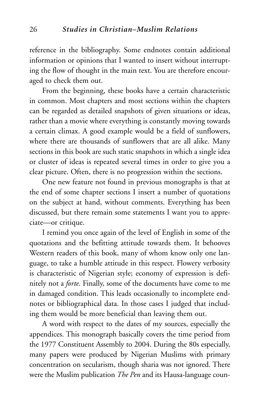reference in the bibliography. Some endnotes contain additional information or opinions that I wanted to insert without interrupting the flow of thought in the main text. You are therefore encouraged to check them out.

From the beginning, these books have a certain characteristic in common. Most chapters and most sections within the chapters can be regarded as detailed snapshots of given situations or ideas, rather than a movie where everything is constantly moving towards a certain climax. A good example would be a field of sunflowers, where there are thousands of sunflowers that are all alike. Many sections in this book are such static snapshots in which a single idea or cluster of ideas is repeated several times in order to give you a clear picture. Often, there is no progression within the sections.

One new feature not found in previous monographs is that at the end of some chapter sections I insert a number of quotations on the subject at hand, without comments. Everything has been discussed, but there remain some statements I want you to appreciate—or critique.

I remind you once again of the level of English in some of the quotations and the befitting attitude towards them. It behooves Western readers of this book, many of whom know only one language, to take a humble attitude in this respect. Flowery verbosity is characteristic of Nigerian style; economy of expression is definitely not a *forte.* Finally, some of the documents have come to me in damaged condition. This leads occasionally to incomplete endnotes or bibliographical data. In those cases I judged that including them would be more beneficial than leaving them out.

A word with respect to the dates of my sources, especially the appendices. This monograph basically covers the time period from the 1977 Constituent Assembly to 2004. During the 80s especially, many papers were produced by Nigerian Muslims with primary concentration on secularism, though sharia was not ignored. There were the Muslim publication *The Pen* and its Hausa-language coun-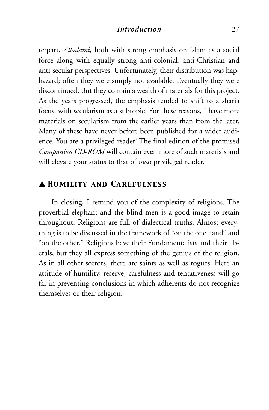terpart, *Alkalami,* both with strong emphasis on Islam as a social force along with equally strong anti-colonial, anti-Christian and anti-secular perspectives. Unfortunately, their distribution was haphazard; often they were simply not available. Eventually they were discontinued. But they contain a wealth of materials for this project. As the years progressed, the emphasis tended to shift to a sharia focus, with secularism as a subtopic. For these reasons, I have more materials on secularism from the earlier years than from the later. Many of these have never before been published for a wider audience. You are a privileged reader! The final edition of the promised *Companion CD-ROM* will contain even more of such materials and will elevate your status to that of *most* privileged reader.

## ▲ *Humility and Carefulness* \_\_\_\_\_\_\_\_\_\_\_\_\_\_\_\_\_\_

In closing, I remind you of the complexity of religions. The proverbial elephant and the blind men is a good image to retain throughout. Religions are full of dialectical truths. Almost everything is to be discussed in the framework of "on the one hand" and "on the other." Religions have their Fundamentalists and their liberals, but they all express something of the genius of the religion. As in all other sectors, there are saints as well as rogues. Here an attitude of humility, reserve, carefulness and tentativeness will go far in preventing conclusions in which adherents do not recognize themselves or their religion.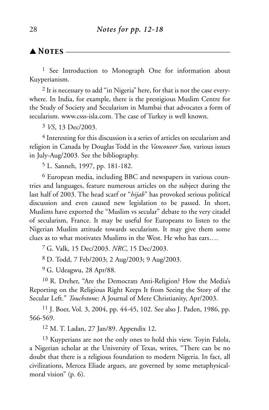# $\blacktriangle$  **Notes** -

<sup>1</sup> See Introduction to Monograph One for information about Kuyperianism.

2 It is necessary to add "in Nigeria" here, for that is not the case everywhere. In India, for example, there is the prestigious Muslim Centre for the Study of Society and Secularism in Mumbai that advocates a form of secularism. www.csss-isla.com. The case of Turkey is well known.

3 *VS*, 13 Dec/2003.

4 Interesting for this discussion is a series of articles on secularism and religion in Canada by Douglas Todd in the *Vancouver Sun,* various issues in July-Aug/2003*.* See the bibliography.

5 L. Sanneh, 1997, pp. 181-182.

6 European media, including BBC and newspapers in various countries and languages, feature numerous articles on the subject during the last half of 2003. The head scarf or "*hijab*" has provoked serious political discussion and even caused new legislation to be passed. In short, Muslims have exported the "Muslim vs secular" debate to the very citadel of secularism, France. It may be useful for Europeans to listen to the Nigerian Muslim attitude towards secularism. It may give them some clues as to what motivates Muslims in the West. He who has ears….

7 G. Valk, 15 Dec/2003. *NRC*, 15 Dec/2003.

8 D. Todd, 7 Feb/2003; 2 Aug/2003; 9 Aug/2003.

9 G. Udeagwu, 28 Apr/88.

10 R. Dreher, "Are the Democrats Anti-Religion? How the Media's Reporting on the Religious Right Keeps It from Seeing the Story of the Secular Left." *Touchston*e: A Journal of Mere Christianity, Apr/2003.

11 J. Boer, Vol. 3, 2004, pp. 44-45, 102. See also J. Paden, 1986, pp. 566-569.

12 M. T. Ladan, 27 Jan/89. Appendix 12.

13 Kuyperians are not the only ones to hold this view. Toyin Falola, a Nigerian scholar at the University of Texas, writes, "There can be no doubt that there is a religious foundation to modern Nigeria. In fact, all civilizations, Mercea Eliade argues, are governed by some metaphysicalmoral vision" (p. 6).